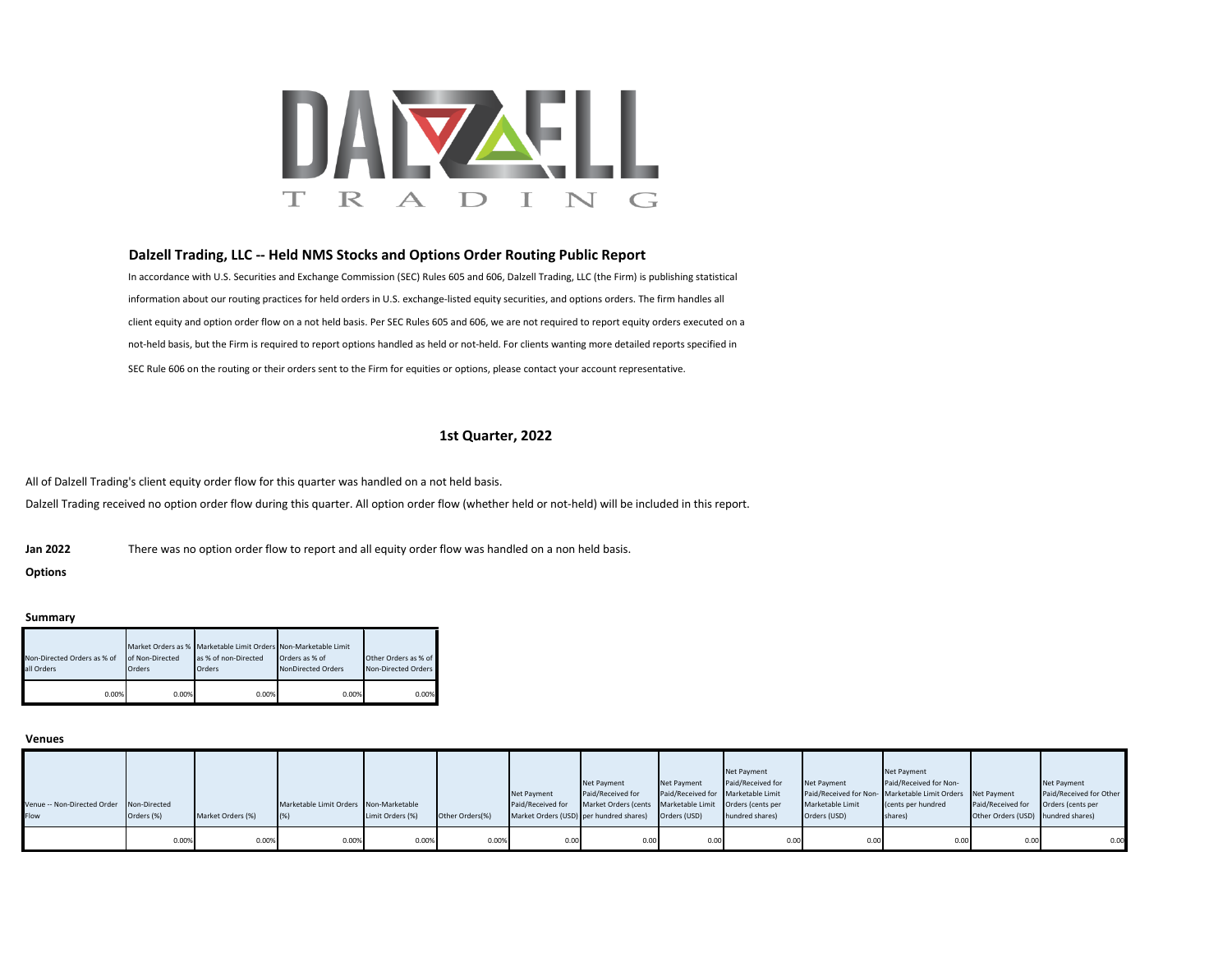

# **Dalzell Trading, LLC -- Held NMS Stocks and Options Order Routing Public Report**

In accordance with U.S. Securities and Exchange Commission (SEC) Rules 605 and 606, Dalzell Trading, LLC (the Firm) is publishing statistical information about our routing practices for held orders in U.S. exchange-listed equity securities, and options orders. The firm handles all client equity and option order flow on a not held basis. Per SEC Rules 605 and 606, we are not required to report equity orders executed on a not-held basis, but the Firm is required to report options handled as held or not-held. For clients wanting more detailed reports specified in SEC Rule 606 on the routing or their orders sent to the Firm for equities or options, please contact your account representative.

# **1st Quarter, 2022**

All of Dalzell Trading's client equity order flow for this quarter was handled on a not held basis. Dalzell Trading received no option order flow during this quarter. All option order flow (whether held or not-held) will be included in this report.

**Jan 2022** There was no option order flow to report and all equity order flow was handled on a non held basis.

**Options**

### **Summary**

| Non-Directed Orders as % of<br>all Orders | of Non-Directed<br>Orders | Market Orders as % Marketable Limit Orders Non-Marketable Limit<br>as % of non-Directed<br>Orders | Orders as % of<br>NonDirected Orders | Other Orders as % of<br>Non-Directed Orders |
|-------------------------------------------|---------------------------|---------------------------------------------------------------------------------------------------|--------------------------------------|---------------------------------------------|
| 0.00%                                     | 0.00%                     | 0.00%                                                                                             | 0.00%                                | 0.00%                                       |

#### **Venues**

|                                          |            |                   |                                        |                  |                 |                                         | Net Payment                                             | <b>Net Payment</b>                 | Net Payment<br>Paid/Received for | Net Payment      | Net Payment<br>Paid/Received for Non-                     |                                    | Net Payment             |
|------------------------------------------|------------|-------------------|----------------------------------------|------------------|-----------------|-----------------------------------------|---------------------------------------------------------|------------------------------------|----------------------------------|------------------|-----------------------------------------------------------|------------------------------------|-------------------------|
|                                          |            |                   |                                        |                  |                 | Net Payment                             | Paid/Received for                                       | Paid/Received for Marketable Limit |                                  |                  | Paid/Received for Non-Marketable Limit Orders Net Payment |                                    | Paid/Received for Other |
| Venue -- Non-Directed Order Non-Directed |            |                   | Marketable Limit Orders Non-Marketable |                  |                 | Paid/Received for                       | Market Orders (cents Marketable Limit Orders (cents per |                                    |                                  | Marketable Limit | (cents per hundred                                        | Paid/Received for                  | Orders (cents per       |
| Flow                                     | Orders (%) | Market Orders (%) |                                        | Limit Orders (%) | Other Orders(%) | Market Orders (USD) per hundred shares) |                                                         | Orders (USD)                       | hundred shares)                  | Orders (USD)     | shares)                                                   | Other Orders (USD) hundred shares) |                         |
|                                          | 0.00%      | 0.00%             | 0.00%                                  | 0.00%            | 0.00%           | 0.00                                    | 0.00                                                    | 0.00                               | 0.00                             | 0.00             | 0.00                                                      | 0.00                               | 0.00                    |